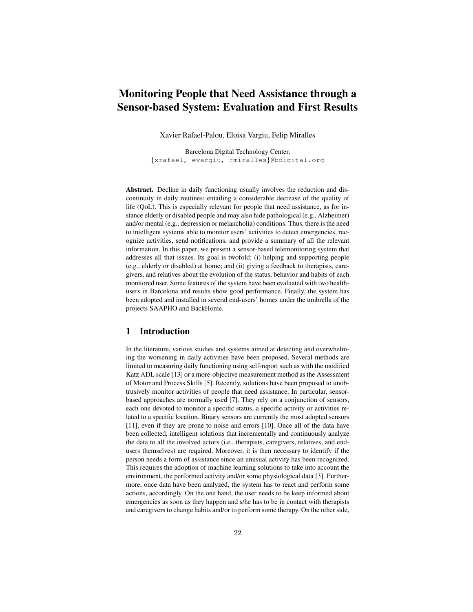# Monitoring People that Need Assistance through a Sensor-based System: Evaluation and First Results

Xavier Rafael-Palou, Eloisa Vargiu, Felip Miralles

Barcelona Digital Technology Center, {xrafael, evargiu, fmiralles}@bdigital.org

Abstract. Decline in daily functioning usually involves the reduction and discontinuity in daily routines; entailing a considerable decrease of the quality of life (QoL). This is especially relevant for people that need assistance, as for instance elderly or disabled people and may also hide pathological (e.g., Alzheimer) and/or mental (e.g., depression or melancholia) conditions. Thus, there is the need to intelligent systems able to monitor users' activities to detect emergencies, recognize activities, send notifications, and provide a summary of all the relevant information. In this paper, we present a sensor-based telemonitoring system that addresses all that issues. Its goal is twofold: (i) helping and supporting people (e.g., elderly or disabled) at home; and (ii) giving a feedback to therapists, caregivers, and relatives about the evolution of the status, behavior and habits of each monitored user. Some features of the system have been evaluated with two healthusers in Barcelona and results show good performance. Finally, the system has been adopted and installed in several end-users' homes under the umbrella of the projects SAAPHO and BackHome.

## 1 Introduction

In the literature, various studies and systems aimed at detecting and overwhelming the worsening in daily activities have been proposed. Several methods are limited to measuring daily functioning using self-report such as with the modified Katz ADL scale [13] or a more-objective measurement method as the Assessment of Motor and Process Skills [5]. Recently, solutions have been proposed to unobtrusively monitor activities of people that need assistance. In particular, sensorbased approaches are normally used [7]. They rely on a conjunction of sensors, each one devoted to monitor a specific status, a specific activity or activities related to a specific location. Binary sensors are currently the most adopted sensors [11], even if they are prone to noise and errors [10]. Once all of the data have been collected, intelligent solutions that incrementally and continuously analyze the data to all the involved actors (i.e., therapists, caregivers, relatives, and endusers themselves) are required. Moreover, it is then necessary to identify if the person needs a form of assistance since an unusual activity has been recognized. This requires the adoption of machine learning solutions to take into account the environment, the performed activity and/or some physiological data [3]. Furthermore, once data have been analyzed, the system has to react and perform some actions, accordingly. On the one hand, the user needs to be keep informed about emergencies as soon as they happen and s/he has to be in contact with therapists and caregivers to change habits and/or to perform some therapy. On the other side,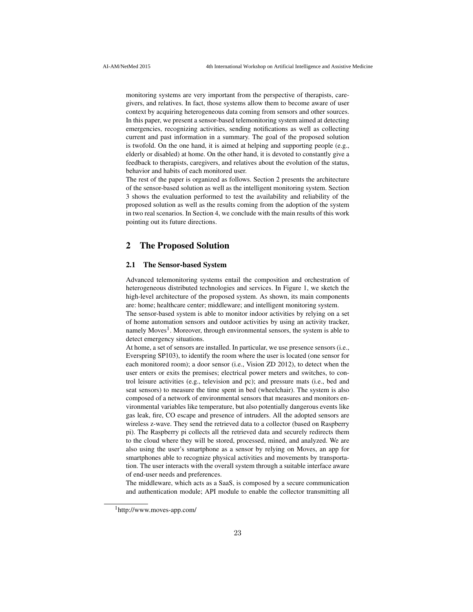monitoring systems are very important from the perspective of therapists, caregivers, and relatives. In fact, those systems allow them to become aware of user context by acquiring heterogeneous data coming from sensors and other sources. In this paper, we present a sensor-based telemonitoring system aimed at detecting emergencies, recognizing activities, sending notifications as well as collecting current and past information in a summary. The goal of the proposed solution is twofold. On the one hand, it is aimed at helping and supporting people (e.g., elderly or disabled) at home. On the other hand, it is devoted to constantly give a feedback to therapists, caregivers, and relatives about the evolution of the status, behavior and habits of each monitored user.

The rest of the paper is organized as follows. Section 2 presents the architecture of the sensor-based solution as well as the intelligent monitoring system. Section 3 shows the evaluation performed to test the availability and reliability of the proposed solution as well as the results coming from the adoption of the system in two real scenarios. In Section 4, we conclude with the main results of this work pointing out its future directions.

## 2 The Proposed Solution

#### 2.1 The Sensor-based System

Advanced telemonitoring systems entail the composition and orchestration of heterogeneous distributed technologies and services. In Figure 1, we sketch the high-level architecture of the proposed system. As shown, its main components are: home; healthcare center; middleware; and intelligent monitoring system.

The sensor-based system is able to monitor indoor activities by relying on a set of home automation sensors and outdoor activities by using an activity tracker, namely Moves<sup>1</sup>. Moreover, through environmental sensors, the system is able to detect emergency situations.

At home, a set of sensors are installed. In particular, we use presence sensors (i.e., Everspring SP103), to identify the room where the user is located (one sensor for each monitored room); a door sensor (i.e., Vision ZD 2012), to detect when the user enters or exits the premises; electrical power meters and switches, to control leisure activities (e.g., television and pc); and pressure mats (i.e., bed and seat sensors) to measure the time spent in bed (wheelchair). The system is also composed of a network of environmental sensors that measures and monitors environmental variables like temperature, but also potentially dangerous events like gas leak, fire, CO escape and presence of intruders. All the adopted sensors are wireless z-wave. They send the retrieved data to a collector (based on Raspberry pi). The Raspberry pi collects all the retrieved data and securely redirects them to the cloud where they will be stored, processed, mined, and analyzed. We are also using the user's smartphone as a sensor by relying on Moves, an app for smartphones able to recognize physical activities and movements by transportation. The user interacts with the overall system through a suitable interface aware of end-user needs and preferences.

The middleware, which acts as a SaaS, is composed by a secure communication and authentication module; API module to enable the collector transmitting all

<sup>1</sup>http://www.moves-app.com/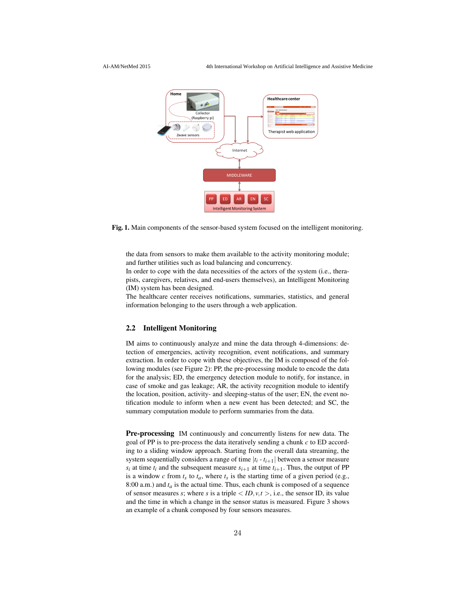

Fig. 1. Main components of the sensor-based system focused on the intelligent monitoring.

the data from sensors to make them available to the activity monitoring module; and further utilities such as load balancing and concurrency.

In order to cope with the data necessities of the actors of the system (i.e., therapists, caregivers, relatives, and end-users themselves), an Intelligent Monitoring (IM) system has been designed.

The healthcare center receives notifications, summaries, statistics, and general information belonging to the users through a web application.

#### 2.2 Intelligent Monitoring

IM aims to continuously analyze and mine the data through 4-dimensions: detection of emergencies, activity recognition, event notifications, and summary extraction. In order to cope with these objectives, the IM is composed of the following modules (see Figure 2): PP, the pre-processing module to encode the data for the analysis; ED, the emergency detection module to notify, for instance, in case of smoke and gas leakage; AR, the activity recognition module to identify the location, position, activity- and sleeping-status of the user; EN, the event notification module to inform when a new event has been detected; and SC, the summary computation module to perform summaries from the data.

Pre-processing IM continuously and concurrently listens for new data. The goal of PP is to pre-process the data iteratively sending a chunk *c* to ED according to a sliding window approach. Starting from the overall data streaming, the system sequentially considers a range of time  $|t_i - t_{i+1}|$  between a sensor measure  $s_i$  at time  $t_i$  and the subsequent measure  $s_{i+1}$  at time  $t_{i+1}$ . Thus, the output of PP is a window  $c$  from  $t_s$  to  $t_a$ , where  $t_s$  is the starting time of a given period (e.g., 8:00 a.m.) and  $t_a$  is the actual time. Thus, each chunk is composed of a sequence of sensor measures *s*; where *s* is a triple  $\langle ID, v, t \rangle$ , i.e., the sensor ID, its value and the time in which a change in the sensor status is measured. Figure 3 shows an example of a chunk composed by four sensors measures.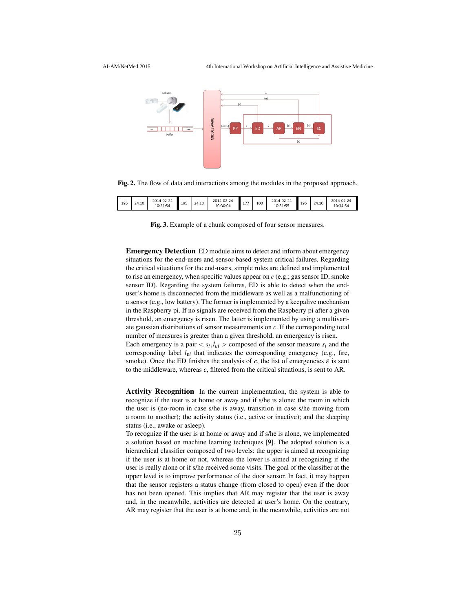

Fig. 2. The flow of data and interactions among the modules in the proposed approach.

| 195 | 24.10 | 2014-02-24<br>10:21:54 | 195 | 24.10 | ∠014-02-24<br>10:30:04 | $-1$<br>- | 100 | 2014-02-24<br>10:31:55 | 195 | 24.10 | 2014-02-24<br>10:34:54 |
|-----|-------|------------------------|-----|-------|------------------------|-----------|-----|------------------------|-----|-------|------------------------|
|-----|-------|------------------------|-----|-------|------------------------|-----------|-----|------------------------|-----|-------|------------------------|

Fig. 3. Example of a chunk composed of four sensor measures.

Emergency Detection ED module aims to detect and inform about emergency situations for the end-users and sensor-based system critical failures. Regarding the critical situations for the end-users, simple rules are defined and implemented to rise an emergency, when specific values appear on *c* (e.g.; gas sensor ID, smoke sensor ID). Regarding the system failures, ED is able to detect when the enduser's home is disconnected from the middleware as well as a malfunctioning of a sensor (e.g., low battery). The former is implemented by a keepalive mechanism in the Raspberry pi. If no signals are received from the Raspberry pi after a given threshold, an emergency is risen. The latter is implemented by using a multivariate gaussian distributions of sensor measurements on *c*. If the corresponding total number of measures is greater than a given threshold, an emergency is risen. Each emergency is a pair  $\langle s_i, l_{\varepsilon i} \rangle$  composed of the sensor measure  $s_i$  and the corresponding label  $l_{\varepsilon i}$  that indicates the corresponding emergency (e.g., fire, smoke). Once the ED finishes the analysis of  $c$ , the list of emergencies  $\varepsilon$  is sent to the middleware, whereas *c*, filtered from the critical situations, is sent to AR.

Activity Recognition In the current implementation, the system is able to recognize if the user is at home or away and if s/he is alone; the room in which the user is (no-room in case s/he is away, transition in case s/he moving from a room to another); the activity status (i.e., active or inactive); and the sleeping status (i.e., awake or asleep).

To recognize if the user is at home or away and if s/he is alone, we implemented a solution based on machine learning techniques [9]. The adopted solution is a hierarchical classifier composed of two levels: the upper is aimed at recognizing if the user is at home or not, whereas the lower is aimed at recognizing if the user is really alone or if s/he received some visits. The goal of the classifier at the upper level is to improve performance of the door sensor. In fact, it may happen that the sensor registers a status change (from closed to open) even if the door has not been opened. This implies that AR may register that the user is away and, in the meanwhile, activities are detected at user's home. On the contrary, AR may register that the user is at home and, in the meanwhile, activities are not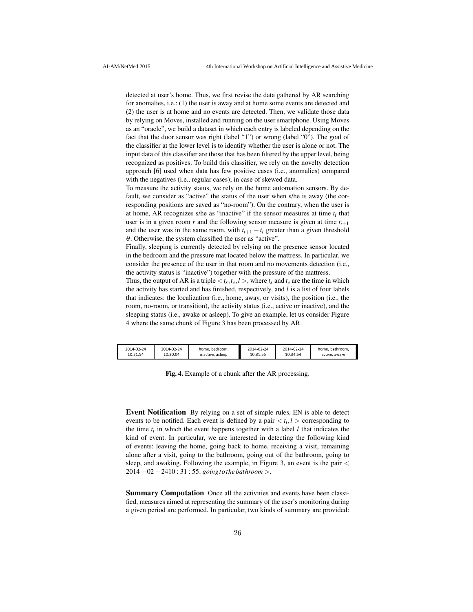detected at user's home. Thus, we first revise the data gathered by AR searching for anomalies, i.e.: (1) the user is away and at home some events are detected and (2) the user is at home and no events are detected. Then, we validate those data by relying on Moves, installed and running on the user smartphone. Using Moves as an "oracle", we build a dataset in which each entry is labeled depending on the fact that the door sensor was right (label "1") or wrong (label "0"). The goal of the classifier at the lower level is to identify whether the user is alone or not. The input data of this classifier are those that has been filtered by the upper level, being recognized as positives. To build this classifier, we rely on the novelty detection approach [6] used when data has few positive cases (i.e., anomalies) compared with the negatives (i.e., regular cases); in case of skewed data.

To measure the activity status, we rely on the home automation sensors. By default, we consider as "active" the status of the user when s/he is away (the corresponding positions are saved as "no-room"). On the contrary, when the user is at home, AR recognizes s/he as "inactive" if the sensor measures at time  $t_i$  that user is in a given room *r* and the following sensor measure is given at time  $t_{i+1}$ and the user was in the same room, with  $t_{i+1} - t_i$  greater than a given threshold θ. Otherwise, the system classified the user as "active".

Finally, sleeping is currently detected by relying on the presence sensor located in the bedroom and the pressure mat located below the mattress. In particular, we consider the presence of the user in that room and no movements detection (i.e., the activity status is "inactive") together with the pressure of the mattress.

Thus, the output of AR is a triple  $\langle t_s, t_e, l \rangle$ , where  $t_s$  and  $t_e$  are the time in which the activity has started and has finished, respectively, and *l* is a list of four labels that indicates: the localization (i.e., home, away, or visits), the position (i.e., the room, no-room, or transition), the activity status (i.e., active or inactive), and the sleeping status (i.e., awake or asleep). To give an example, let us consider Figure 4 where the same chunk of Figure 3 has been processed by AR.

| 2014-02-24<br>2014-02-24<br>home, bedroom,<br>10:30:04<br>10:21:54<br>inactive, asleep | 2014-02-24<br>10:31:55 | 2014-02-24<br>10:34:54 | home, bathroom,<br>active, awake |
|----------------------------------------------------------------------------------------|------------------------|------------------------|----------------------------------|
|----------------------------------------------------------------------------------------|------------------------|------------------------|----------------------------------|

Fig. 4. Example of a chunk after the AR processing.

Event Notification By relying on a set of simple rules, EN is able to detect events to be notified. Each event is defined by a pair  $\langle t_i, l \rangle$  corresponding to the time  $t_i$  in which the event happens together with a label  $l$  that indicates the kind of event. In particular, we are interested in detecting the following kind of events: leaving the home, going back to home, receiving a visit, remaining alone after a visit, going to the bathroom, going out of the bathroom, going to sleep, and awaking. Following the example, in Figure 3, an event is the pair < 2014−02−2410 : 31 : 55, *goingtothe bathroom* >.

Summary Computation Once all the activities and events have been classified, measures aimed at representing the summary of the user's monitoring during a given period are performed. In particular, two kinds of summary are provided: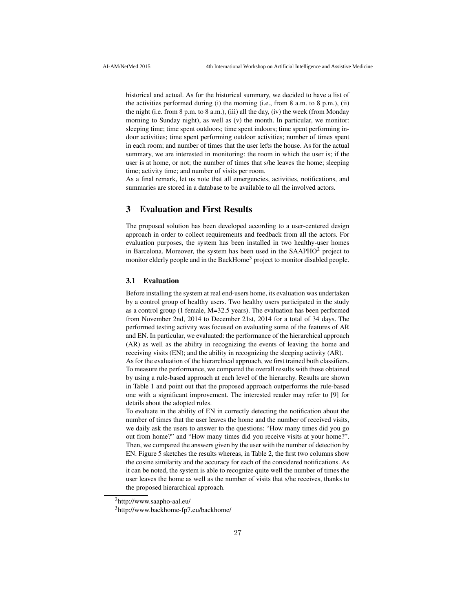historical and actual. As for the historical summary, we decided to have a list of the activities performed during (i) the morning (i.e., from 8 a.m. to 8 p.m.), (ii) the night (i.e. from 8 p.m. to 8 a.m.), (iii) all the day, (iv) the week (from Monday morning to Sunday night), as well as (v) the month. In particular, we monitor: sleeping time; time spent outdoors; time spent indoors; time spent performing indoor activities; time spent performing outdoor activities; number of times spent in each room; and number of times that the user lefts the house. As for the actual summary, we are interested in monitoring: the room in which the user is; if the user is at home, or not; the number of times that s/he leaves the home; sleeping time; activity time; and number of visits per room.

As a final remark, let us note that all emergencies, activities, notifications, and summaries are stored in a database to be available to all the involved actors.

## 3 Evaluation and First Results

The proposed solution has been developed according to a user-centered design approach in order to collect requirements and feedback from all the actors. For evaluation purposes, the system has been installed in two healthy-user homes in Barcelona. Moreover, the system has been used in the SAAPHO<sup>2</sup> project to monitor elderly people and in the BackHome<sup>3</sup> project to monitor disabled people.

#### 3.1 Evaluation

Before installing the system at real end-users home, its evaluation was undertaken by a control group of healthy users. Two healthy users participated in the study as a control group (1 female, M=32.5 years). The evaluation has been performed from November 2nd, 2014 to December 21st, 2014 for a total of 34 days. The performed testing activity was focused on evaluating some of the features of AR and EN. In particular, we evaluated: the performance of the hierarchical approach (AR) as well as the ability in recognizing the events of leaving the home and receiving visits (EN); and the ability in recognizing the sleeping activity (AR).

As for the evaluation of the hierarchical approach, we first trained both classifiers. To measure the performance, we compared the overall results with those obtained by using a rule-based approach at each level of the hierarchy. Results are shown in Table 1 and point out that the proposed approach outperforms the rule-based one with a significant improvement. The interested reader may refer to [9] for details about the adopted rules.

To evaluate in the ability of EN in correctly detecting the notification about the number of times that the user leaves the home and the number of received visits, we daily ask the users to answer to the questions: "How many times did you go out from home?" and "How many times did you receive visits at your home?". Then, we compared the answers given by the user with the number of detection by EN. Figure 5 sketches the results whereas, in Table 2, the first two columns show the cosine similarity and the accuracy for each of the considered notifications. As it can be noted, the system is able to recognize quite well the number of times the user leaves the home as well as the number of visits that s/he receives, thanks to the proposed hierarchical approach.

<sup>2</sup>http://www.saapho-aal.eu/

<sup>3</sup>http://www.backhome-fp7.eu/backhome/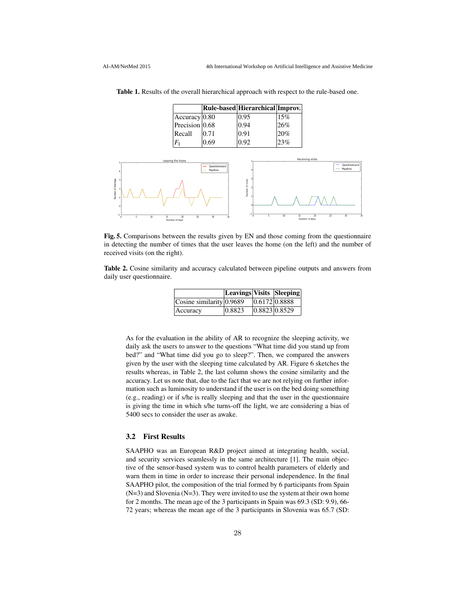| Table 1. Results of the overall hierarchical approach with respect to the rule-based one. |  |
|-------------------------------------------------------------------------------------------|--|
|-------------------------------------------------------------------------------------------|--|

|                    |      | Rule-based Hierarchical Improv. |     |
|--------------------|------|---------------------------------|-----|
| Accuracy 0.80      |      | 0.95                            | 15% |
| Precision $ 0.68 $ |      | 0.94                            | 26% |
| Recall             | 0.71 | 0.91                            | 20% |
| F1                 | ).69 | 1.92                            | 23% |



Fig. 5. Comparisons between the results given by EN and those coming from the questionnaire in detecting the number of times that the user leaves the home (on the left) and the number of received visits (on the right).

Table 2. Cosine similarity and accuracy calculated between pipeline outputs and answers from daily user questionnaire.

|                                       | Leavings Visits Sleeping |               |  |
|---------------------------------------|--------------------------|---------------|--|
| $ Cosine$ similarity $ 0.9689\rangle$ |                          | 0.6172 0.8888 |  |
| Accuracy                              | 0.8823                   | 0.8823 0.8529 |  |

As for the evaluation in the ability of AR to recognize the sleeping activity, we daily ask the users to answer to the questions "What time did you stand up from bed?" and "What time did you go to sleep?". Then, we compared the answers given by the user with the sleeping time calculated by AR. Figure 6 sketches the results whereas, in Table 2, the last column shows the cosine similarity and the accuracy. Let us note that, due to the fact that we are not relying on further information such as luminosity to understand if the user is on the bed doing something (e.g., reading) or if s/he is really sleeping and that the user in the questionnaire is giving the time in which s/he turns-off the light, we are considering a bias of 5400 secs to consider the user as awake.

#### 3.2 First Results

SAAPHO was an European R&D project aimed at integrating health, social, and security services seamlessly in the same architecture [1]. The main objective of the sensor-based system was to control health parameters of elderly and warn them in time in order to increase their personal independence. In the final SAAPHO pilot, the composition of the trial formed by 6 participants from Spain  $(N=3)$  and Slovenia  $(N=3)$ . They were invited to use the system at their own home for 2 months. The mean age of the 3 participants in Spain was 69.3 (SD: 9.9), 66- 72 years; whereas the mean age of the 3 participants in Slovenia was 65.7 (SD: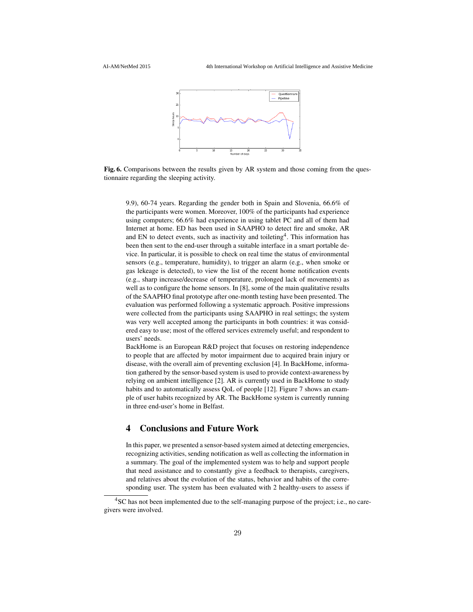

Fig. 6. Comparisons between the results given by AR system and those coming from the questionnaire regarding the sleeping activity.

9.9), 60-74 years. Regarding the gender both in Spain and Slovenia, 66.6% of the participants were women. Moreover, 100% of the participants had experience using computers; 66.6% had experience in using tablet PC and all of them had Internet at home. ED has been used in SAAPHO to detect fire and smoke, AR and EN to detect events, such as inactivity and toileting<sup>4</sup>. This information has been then sent to the end-user through a suitable interface in a smart portable device. In particular, it is possible to check on real time the status of environmental sensors (e.g., temperature, humidity), to trigger an alarm (e.g., when smoke or gas lekeage is detected), to view the list of the recent home notification events (e.g., sharp increase/decrease of temperature, prolonged lack of movements) as well as to configure the home sensors. In [8], some of the main qualitative results of the SAAPHO final prototype after one-month testing have been presented. The evaluation was performed following a systematic approach. Positive impressions were collected from the participants using SAAPHO in real settings; the system was very well accepted among the participants in both countries: it was considered easy to use; most of the offered services extremely useful; and respondent to users' needs.

BackHome is an European R&D project that focuses on restoring independence to people that are affected by motor impairment due to acquired brain injury or disease, with the overall aim of preventing exclusion [4]. In BackHome, information gathered by the sensor-based system is used to provide context-awareness by relying on ambient intelligence [2]. AR is currently used in BackHome to study habits and to automatically assess QoL of people [12]. Figure 7 shows an example of user habits recognized by AR. The BackHome system is currently running in three end-user's home in Belfast.

## 4 Conclusions and Future Work

In this paper, we presented a sensor-based system aimed at detecting emergencies, recognizing activities, sending notification as well as collecting the information in a summary. The goal of the implemented system was to help and support people that need assistance and to constantly give a feedback to therapists, caregivers, and relatives about the evolution of the status, behavior and habits of the corresponding user. The system has been evaluated with 2 healthy-users to assess if

<sup>&</sup>lt;sup>4</sup>SC has not been implemented due to the self-managing purpose of the project; i.e., no caregivers were involved.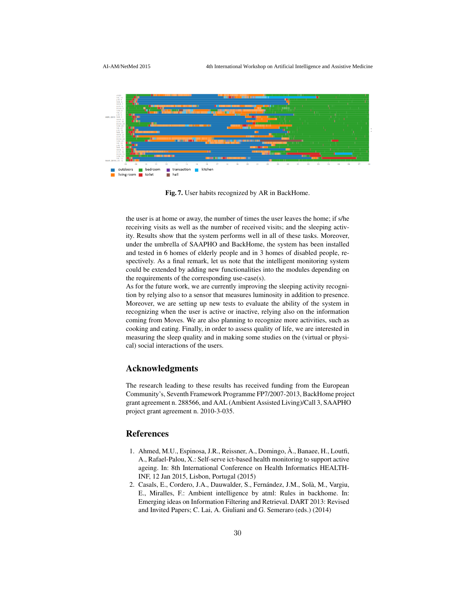

Fig. 7. User habits recognized by AR in BackHome.

the user is at home or away, the number of times the user leaves the home; if s/he receiving visits as well as the number of received visits; and the sleeping activity. Results show that the system performs well in all of these tasks. Moreover, under the umbrella of SAAPHO and BackHome, the system has been installed and tested in 6 homes of elderly people and in 3 homes of disabled people, respectively. As a final remark, let us note that the intelligent monitoring system could be extended by adding new functionalities into the modules depending on the requirements of the corresponding use-case(s).

As for the future work, we are currently improving the sleeping activity recognition by relying also to a sensor that measures luminosity in addition to presence. Moreover, we are setting up new tests to evaluate the ability of the system in recognizing when the user is active or inactive, relying also on the information coming from Moves. We are also planning to recognize more activities, such as cooking and eating. Finally, in order to assess quality of life, we are interested in measuring the sleep quality and in making some studies on the (virtual or physical) social interactions of the users.

## Acknowledgments

The research leading to these results has received funding from the European Community's, Seventh Framework Programme FP7/2007-2013, BackHome project grant agreement n. 288566, and AAL (Ambient Assisted Living)/Call 3, SAAPHO project grant agreement n. 2010-3-035.

### References

- 1. Ahmed, M.U., Espinosa, J.R., Reissner, A., Domingo, À., Banaee, H., Loutfi, A., Rafael-Palou, X.: Self-serve ict-based health monitoring to support active ageing. In: 8th International Conference on Health Informatics HEALTH-INF, 12 Jan 2015, Lisbon, Portugal (2015)
- 2. Casals, E., Cordero, J.A., Dauwalder, S., Fernández, J.M., Solà, M., Vargiu, E., Miralles, F.: Ambient intelligence by atml: Rules in backhome. In: Emerging ideas on Information Filtering and Retrieval. DART 2013: Revised and Invited Papers; C. Lai, A. Giuliani and G. Semeraro (eds.) (2014)